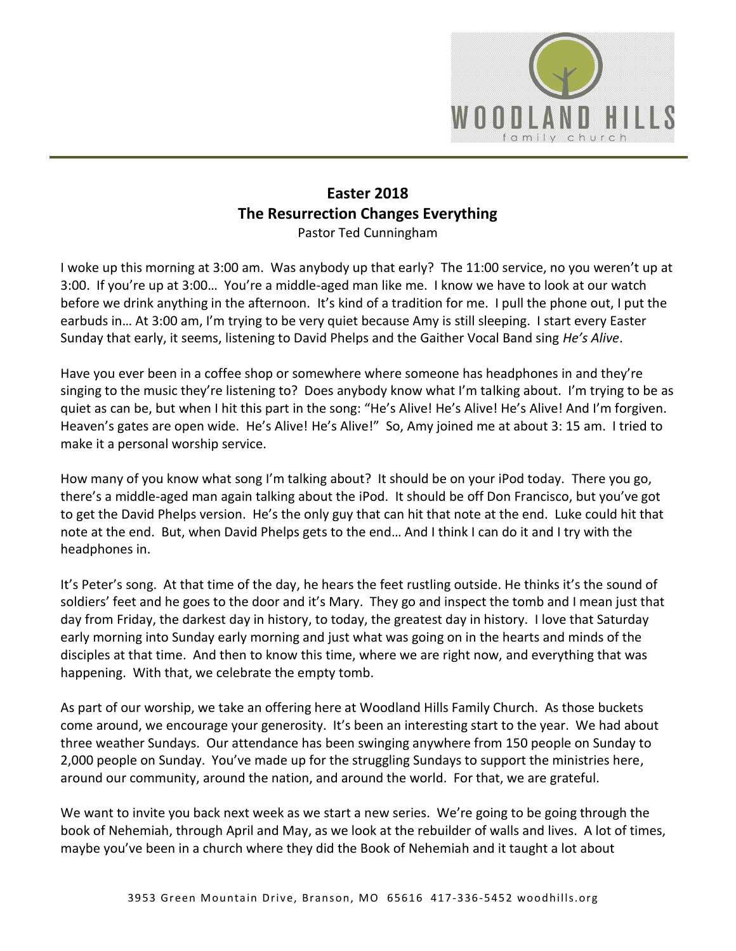

## **Easter 2018 The Resurrection Changes Everything** Pastor Ted Cunningham

I woke up this morning at 3:00 am. Was anybody up that early? The 11:00 service, no you weren't up at 3:00. If you're up at 3:00… You're a middle-aged man like me. I know we have to look at our watch before we drink anything in the afternoon. It's kind of a tradition for me. I pull the phone out, I put the earbuds in… At 3:00 am, I'm trying to be very quiet because Amy is still sleeping. I start every Easter Sunday that early, it seems, listening to David Phelps and the Gaither Vocal Band sing *He's Alive*.

Have you ever been in a coffee shop or somewhere where someone has headphones in and they're singing to the music they're listening to? Does anybody know what I'm talking about. I'm trying to be as quiet as can be, but when I hit this part in the song: "He's Alive! He's Alive! He's Alive! And I'm forgiven. Heaven's gates are open wide. He's Alive! He's Alive!" So, Amy joined me at about 3: 15 am. I tried to make it a personal worship service.

How many of you know what song I'm talking about? It should be on your iPod today. There you go, there's a middle-aged man again talking about the iPod. It should be off Don Francisco, but you've got to get the David Phelps version. He's the only guy that can hit that note at the end. Luke could hit that note at the end. But, when David Phelps gets to the end… And I think I can do it and I try with the headphones in.

It's Peter's song. At that time of the day, he hears the feet rustling outside. He thinks it's the sound of soldiers' feet and he goes to the door and it's Mary. They go and inspect the tomb and I mean just that day from Friday, the darkest day in history, to today, the greatest day in history. I love that Saturday early morning into Sunday early morning and just what was going on in the hearts and minds of the disciples at that time. And then to know this time, where we are right now, and everything that was happening. With that, we celebrate the empty tomb.

As part of our worship, we take an offering here at Woodland Hills Family Church. As those buckets come around, we encourage your generosity. It's been an interesting start to the year. We had about three weather Sundays. Our attendance has been swinging anywhere from 150 people on Sunday to 2,000 people on Sunday. You've made up for the struggling Sundays to support the ministries here, around our community, around the nation, and around the world. For that, we are grateful.

We want to invite you back next week as we start a new series. We're going to be going through the book of Nehemiah, through April and May, as we look at the rebuilder of walls and lives. A lot of times, maybe you've been in a church where they did the Book of Nehemiah and it taught a lot about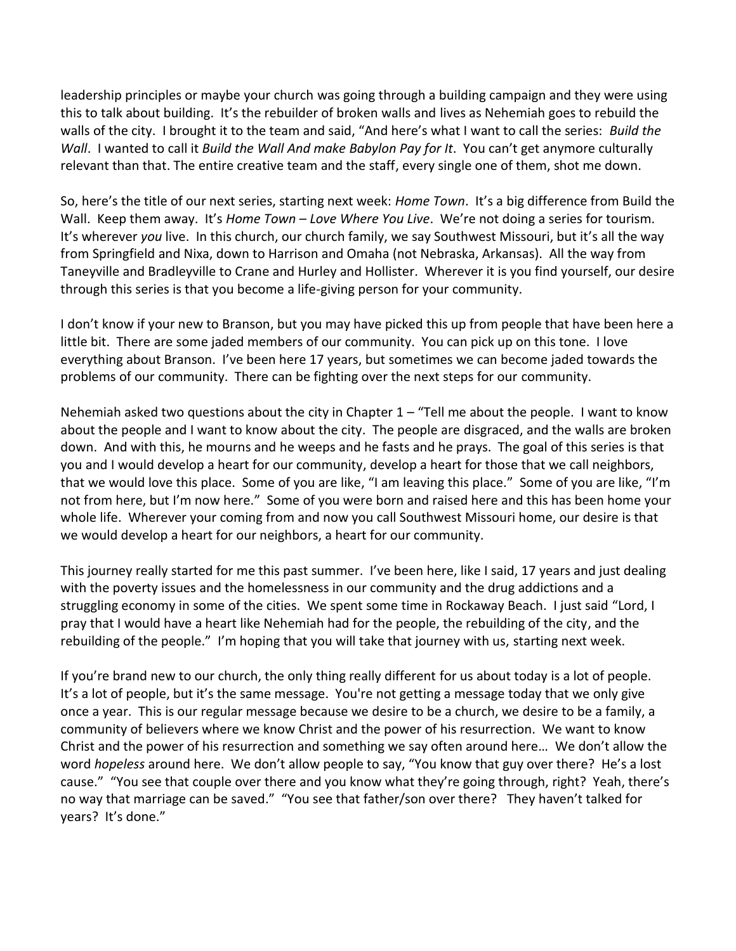leadership principles or maybe your church was going through a building campaign and they were using this to talk about building. It's the rebuilder of broken walls and lives as Nehemiah goes to rebuild the walls of the city. I brought it to the team and said, "And here's what I want to call the series: *Build the Wall*. I wanted to call it *Build the Wall And make Babylon Pay for It*. You can't get anymore culturally relevant than that. The entire creative team and the staff, every single one of them, shot me down.

So, here's the title of our next series, starting next week: *Home Town*. It's a big difference from Build the Wall. Keep them away. It's *Home Town – Love Where You Live*. We're not doing a series for tourism. It's wherever *you* live. In this church, our church family, we say Southwest Missouri, but it's all the way from Springfield and Nixa, down to Harrison and Omaha (not Nebraska, Arkansas). All the way from Taneyville and Bradleyville to Crane and Hurley and Hollister. Wherever it is you find yourself, our desire through this series is that you become a life-giving person for your community.

I don't know if your new to Branson, but you may have picked this up from people that have been here a little bit. There are some jaded members of our community. You can pick up on this tone. I love everything about Branson. I've been here 17 years, but sometimes we can become jaded towards the problems of our community. There can be fighting over the next steps for our community.

Nehemiah asked two questions about the city in Chapter 1 – "Tell me about the people. I want to know about the people and I want to know about the city. The people are disgraced, and the walls are broken down. And with this, he mourns and he weeps and he fasts and he prays. The goal of this series is that you and I would develop a heart for our community, develop a heart for those that we call neighbors, that we would love this place. Some of you are like, "I am leaving this place." Some of you are like, "I'm not from here, but I'm now here." Some of you were born and raised here and this has been home your whole life. Wherever your coming from and now you call Southwest Missouri home, our desire is that we would develop a heart for our neighbors, a heart for our community.

This journey really started for me this past summer. I've been here, like I said, 17 years and just dealing with the poverty issues and the homelessness in our community and the drug addictions and a struggling economy in some of the cities. We spent some time in Rockaway Beach. I just said "Lord, I pray that I would have a heart like Nehemiah had for the people, the rebuilding of the city, and the rebuilding of the people." I'm hoping that you will take that journey with us, starting next week.

If you're brand new to our church, the only thing really different for us about today is a lot of people. It's a lot of people, but it's the same message. You're not getting a message today that we only give once a year. This is our regular message because we desire to be a church, we desire to be a family, a community of believers where we know Christ and the power of his resurrection. We want to know Christ and the power of his resurrection and something we say often around here… We don't allow the word *hopeless* around here. We don't allow people to say, "You know that guy over there? He's a lost cause." "You see that couple over there and you know what they're going through, right? Yeah, there's no way that marriage can be saved." "You see that father/son over there? They haven't talked for years? It's done."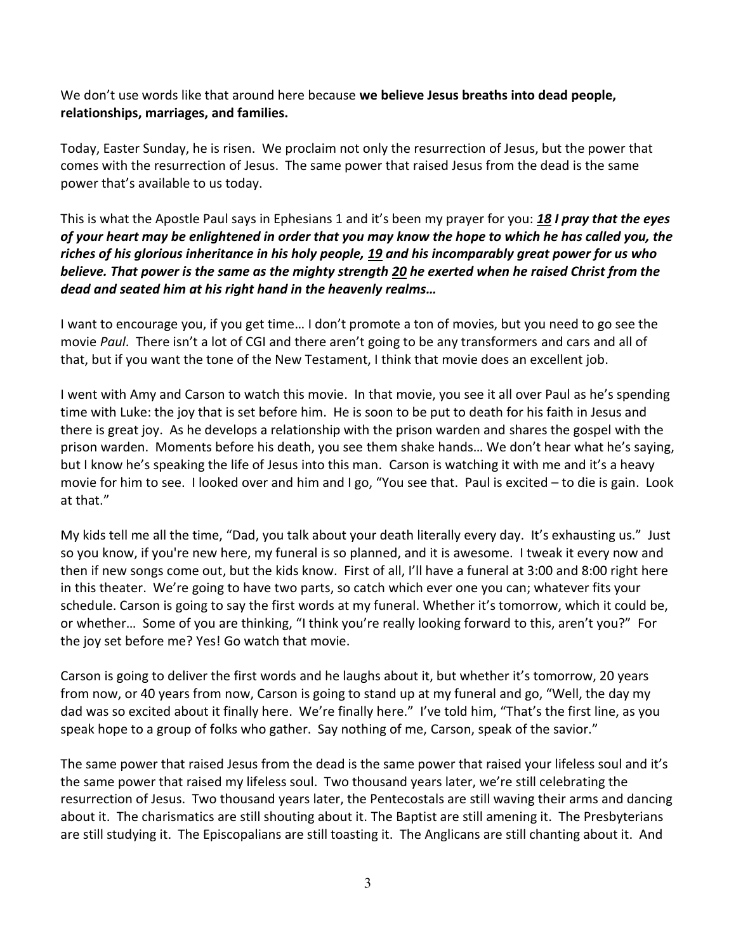We don't use words like that around here because **we believe Jesus breaths into dead people, relationships, marriages, and families.**

Today, Easter Sunday, he is risen. We proclaim not only the resurrection of Jesus, but the power that comes with the resurrection of Jesus. The same power that raised Jesus from the dead is the same power that's available to us today.

This is what the Apostle Paul says in Ephesians 1 and it's been my prayer for you: *[18](https://www.studylight.org/desk/?q=eph%201:18&t1=en_niv&sr=1) I pray that the eyes of your heart may be enlightened in order that you may know the hope to which he has called you, the riches of his glorious inheritance in his holy people, [19](https://www.studylight.org/desk/?q=eph%201:19&t1=en_niv&sr=1) and his incomparably great power for us who believe. That power is the same as the mighty strength [20](https://www.studylight.org/desk/?q=eph%201:20&t1=en_niv&sr=1) he exerted when he raised Christ from the dead and seated him at his right hand in the heavenly realms…*

I want to encourage you, if you get time… I don't promote a ton of movies, but you need to go see the movie *Paul*. There isn't a lot of CGI and there aren't going to be any transformers and cars and all of that, but if you want the tone of the New Testament, I think that movie does an excellent job.

I went with Amy and Carson to watch this movie. In that movie, you see it all over Paul as he's spending time with Luke: the joy that is set before him. He is soon to be put to death for his faith in Jesus and there is great joy. As he develops a relationship with the prison warden and shares the gospel with the prison warden. Moments before his death, you see them shake hands… We don't hear what he's saying, but I know he's speaking the life of Jesus into this man. Carson is watching it with me and it's a heavy movie for him to see. I looked over and him and I go, "You see that. Paul is excited – to die is gain. Look at that."

My kids tell me all the time, "Dad, you talk about your death literally every day. It's exhausting us." Just so you know, if you're new here, my funeral is so planned, and it is awesome. I tweak it every now and then if new songs come out, but the kids know. First of all, I'll have a funeral at 3:00 and 8:00 right here in this theater. We're going to have two parts, so catch which ever one you can; whatever fits your schedule. Carson is going to say the first words at my funeral. Whether it's tomorrow, which it could be, or whether… Some of you are thinking, "I think you're really looking forward to this, aren't you?" For the joy set before me? Yes! Go watch that movie.

Carson is going to deliver the first words and he laughs about it, but whether it's tomorrow, 20 years from now, or 40 years from now, Carson is going to stand up at my funeral and go, "Well, the day my dad was so excited about it finally here. We're finally here." I've told him, "That's the first line, as you speak hope to a group of folks who gather. Say nothing of me, Carson, speak of the savior."

The same power that raised Jesus from the dead is the same power that raised your lifeless soul and it's the same power that raised my lifeless soul. Two thousand years later, we're still celebrating the resurrection of Jesus. Two thousand years later, the Pentecostals are still waving their arms and dancing about it. The charismatics are still shouting about it. The Baptist are still amening it. The Presbyterians are still studying it. The Episcopalians are still toasting it. The Anglicans are still chanting about it. And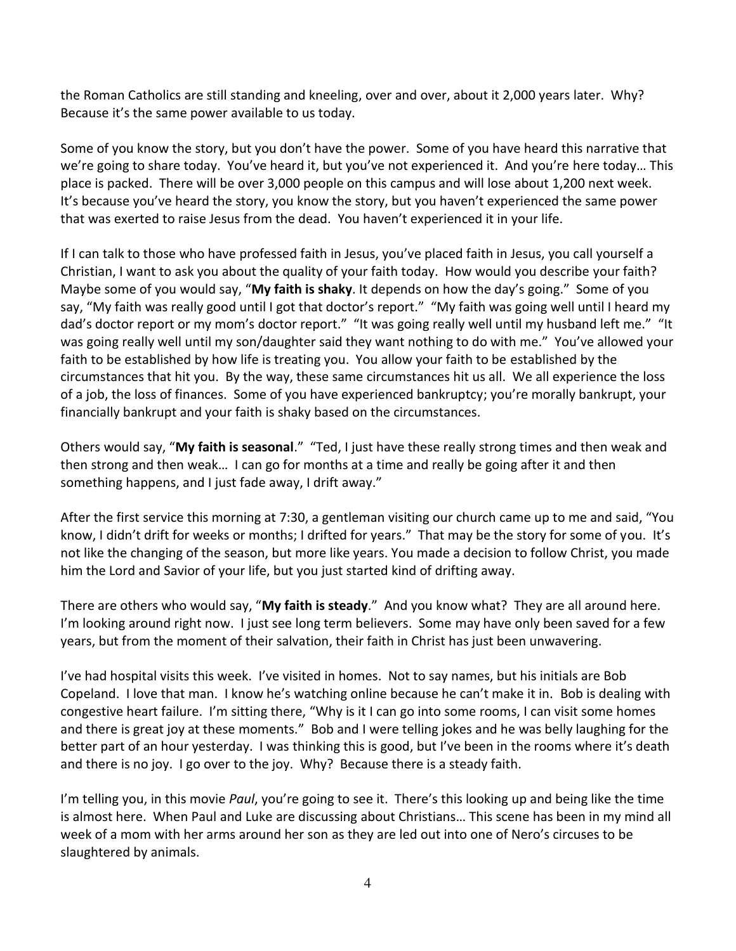the Roman Catholics are still standing and kneeling, over and over, about it 2,000 years later. Why? Because it's the same power available to us today.

Some of you know the story, but you don't have the power. Some of you have heard this narrative that we're going to share today. You've heard it, but you've not experienced it. And you're here today… This place is packed. There will be over 3,000 people on this campus and will lose about 1,200 next week. It's because you've heard the story, you know the story, but you haven't experienced the same power that was exerted to raise Jesus from the dead. You haven't experienced it in your life.

If I can talk to those who have professed faith in Jesus, you've placed faith in Jesus, you call yourself a Christian, I want to ask you about the quality of your faith today. How would you describe your faith? Maybe some of you would say, "**My faith is shaky**. It depends on how the day's going." Some of you say, "My faith was really good until I got that doctor's report." "My faith was going well until I heard my dad's doctor report or my mom's doctor report." "It was going really well until my husband left me." "It was going really well until my son/daughter said they want nothing to do with me." You've allowed your faith to be established by how life is treating you. You allow your faith to be established by the circumstances that hit you. By the way, these same circumstances hit us all. We all experience the loss of a job, the loss of finances. Some of you have experienced bankruptcy; you're morally bankrupt, your financially bankrupt and your faith is shaky based on the circumstances.

Others would say, "**My faith is seasonal**." "Ted, I just have these really strong times and then weak and then strong and then weak… I can go for months at a time and really be going after it and then something happens, and I just fade away, I drift away."

After the first service this morning at 7:30, a gentleman visiting our church came up to me and said, "You know, I didn't drift for weeks or months; I drifted for years." That may be the story for some of you. It's not like the changing of the season, but more like years. You made a decision to follow Christ, you made him the Lord and Savior of your life, but you just started kind of drifting away.

There are others who would say, "**My faith is steady**." And you know what? They are all around here. I'm looking around right now. I just see long term believers. Some may have only been saved for a few years, but from the moment of their salvation, their faith in Christ has just been unwavering.

I've had hospital visits this week. I've visited in homes. Not to say names, but his initials are Bob Copeland. I love that man. I know he's watching online because he can't make it in. Bob is dealing with congestive heart failure. I'm sitting there, "Why is it I can go into some rooms, I can visit some homes and there is great joy at these moments." Bob and I were telling jokes and he was belly laughing for the better part of an hour yesterday. I was thinking this is good, but I've been in the rooms where it's death and there is no joy. I go over to the joy. Why? Because there is a steady faith.

I'm telling you, in this movie *Paul*, you're going to see it. There's this looking up and being like the time is almost here. When Paul and Luke are discussing about Christians… This scene has been in my mind all week of a mom with her arms around her son as they are led out into one of Nero's circuses to be slaughtered by animals.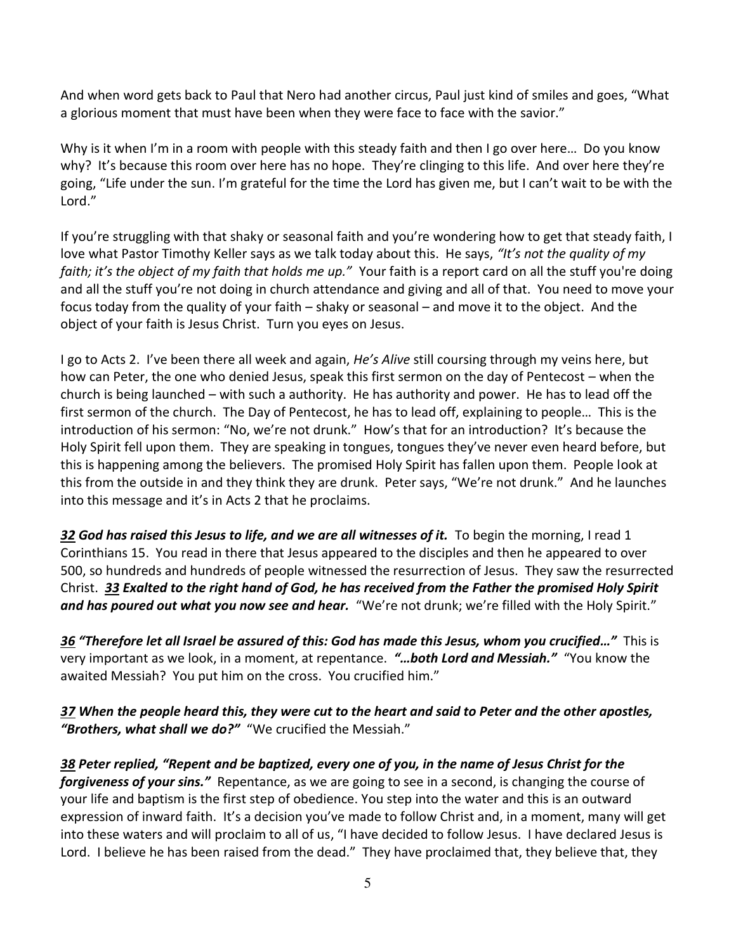And when word gets back to Paul that Nero had another circus, Paul just kind of smiles and goes, "What a glorious moment that must have been when they were face to face with the savior."

Why is it when I'm in a room with people with this steady faith and then I go over here... Do you know why? It's because this room over here has no hope. They're clinging to this life. And over here they're going, "Life under the sun. I'm grateful for the time the Lord has given me, but I can't wait to be with the Lord."

If you're struggling with that shaky or seasonal faith and you're wondering how to get that steady faith, I love what Pastor Timothy Keller says as we talk today about this. He says, *"It's not the quality of my faith; it's the object of my faith that holds me up."* Your faith is a report card on all the stuff you're doing and all the stuff you're not doing in church attendance and giving and all of that. You need to move your focus today from the quality of your faith – shaky or seasonal – and move it to the object. And the object of your faith is Jesus Christ. Turn you eyes on Jesus.

I go to Acts 2. I've been there all week and again, *He's Alive* still coursing through my veins here, but how can Peter, the one who denied Jesus, speak this first sermon on the day of Pentecost – when the church is being launched – with such a authority. He has authority and power. He has to lead off the first sermon of the church. The Day of Pentecost, he has to lead off, explaining to people… This is the introduction of his sermon: "No, we're not drunk." How's that for an introduction? It's because the Holy Spirit fell upon them. They are speaking in tongues, tongues they've never even heard before, but this is happening among the believers. The promised Holy Spirit has fallen upon them. People look at this from the outside in and they think they are drunk. Peter says, "We're not drunk." And he launches into this message and it's in Acts 2 that he proclaims.

*[32](https://www.studylight.org/desk/?q=ac%202:32&t1=en_niv&sr=1) God has raised this Jesus to life, and we are all witnesses of it.* To begin the morning, I read 1 Corinthians 15. You read in there that Jesus appeared to the disciples and then he appeared to over 500, so hundreds and hundreds of people witnessed the resurrection of Jesus. They saw the resurrected Christ. *[33](https://www.studylight.org/desk/?q=ac%202:33&t1=en_niv&sr=1) Exalted to the right hand of God, he has received from the Father the promised Holy Spirit and has poured out what you now see and hear.* "We're not drunk; we're filled with the Holy Spirit."

*[36](https://www.studylight.org/desk/?q=ac%202:36&t1=en_niv&sr=1) "Therefore let all Israel be assured of this: God has made this Jesus, whom you crucified…"* This is very important as we look, in a moment, at repentance. *"…both Lord and Messiah."* "You know the awaited Messiah? You put him on the cross. You crucified him."

*[37](https://www.studylight.org/desk/?q=ac%202:37&t1=en_niv&sr=1) When the people heard this, they were cut to the heart and said to Peter and the other apostles, "Brothers, what shall we do?"* "We crucified the Messiah."

*[38](https://www.studylight.org/desk/?q=ac%202:38&t1=en_niv&sr=1) Peter replied, "Repent and be baptized, every one of you, in the name of Jesus Christ for the forgiveness of your sins."* Repentance, as we are going to see in a second, is changing the course of your life and baptism is the first step of obedience. You step into the water and this is an outward expression of inward faith. It's a decision you've made to follow Christ and, in a moment, many will get into these waters and will proclaim to all of us, "I have decided to follow Jesus. I have declared Jesus is Lord. I believe he has been raised from the dead." They have proclaimed that, they believe that, they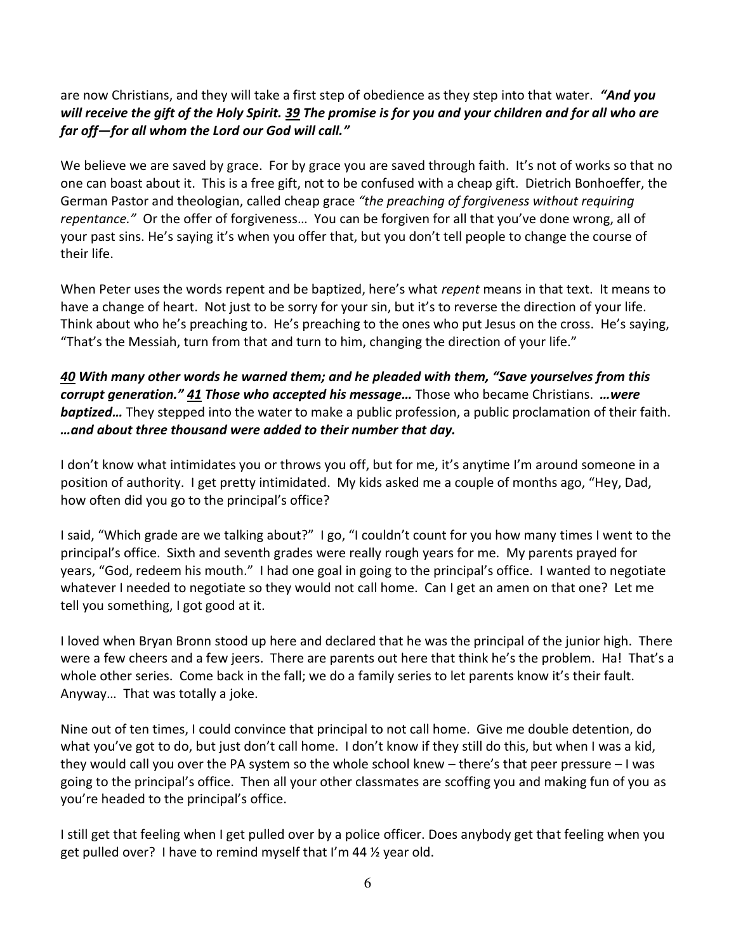are now Christians, and they will take a first step of obedience as they step into that water. *"And you will receive the gift of the Holy Spirit. [39](https://www.studylight.org/desk/?q=ac%202:39&t1=en_niv&sr=1) The promise is for you and your children and for all who are far off—for all whom the Lord our God will call."*

We believe we are saved by grace. For by grace you are saved through faith. It's not of works so that no one can boast about it. This is a free gift, not to be confused with a cheap gift. Dietrich Bonhoeffer, the German Pastor and theologian, called cheap grace *"the preaching of forgiveness without requiring repentance."* Or the offer of forgiveness… You can be forgiven for all that you've done wrong, all of your past sins. He's saying it's when you offer that, but you don't tell people to change the course of their life.

When Peter uses the words repent and be baptized, here's what *repent* means in that text. It means to have a change of heart. Not just to be sorry for your sin, but it's to reverse the direction of your life. Think about who he's preaching to. He's preaching to the ones who put Jesus on the cross. He's saying, "That's the Messiah, turn from that and turn to him, changing the direction of your life."

*[40](https://www.studylight.org/desk/?q=ac%202:40&t1=en_niv&sr=1) With many other words he warned them; and he pleaded with them, "Save yourselves from this corrupt generation." [41](https://www.studylight.org/desk/?q=ac%202:41&t1=en_niv&sr=1) Those who accepted his message…* Those who became Christians. *…were baptized…* They stepped into the water to make a public profession, a public proclamation of their faith. *…and about three thousand were added to their number that day.*

I don't know what intimidates you or throws you off, but for me, it's anytime I'm around someone in a position of authority. I get pretty intimidated. My kids asked me a couple of months ago, "Hey, Dad, how often did you go to the principal's office?

I said, "Which grade are we talking about?" I go, "I couldn't count for you how many times I went to the principal's office. Sixth and seventh grades were really rough years for me. My parents prayed for years, "God, redeem his mouth." I had one goal in going to the principal's office. I wanted to negotiate whatever I needed to negotiate so they would not call home. Can I get an amen on that one? Let me tell you something, I got good at it.

I loved when Bryan Bronn stood up here and declared that he was the principal of the junior high. There were a few cheers and a few jeers. There are parents out here that think he's the problem. Ha! That's a whole other series. Come back in the fall; we do a family series to let parents know it's their fault. Anyway… That was totally a joke.

Nine out of ten times, I could convince that principal to not call home. Give me double detention, do what you've got to do, but just don't call home. I don't know if they still do this, but when I was a kid, they would call you over the PA system so the whole school knew – there's that peer pressure – I was going to the principal's office. Then all your other classmates are scoffing you and making fun of you as you're headed to the principal's office.

I still get that feeling when I get pulled over by a police officer. Does anybody get that feeling when you get pulled over? I have to remind myself that I'm 44 ½ year old.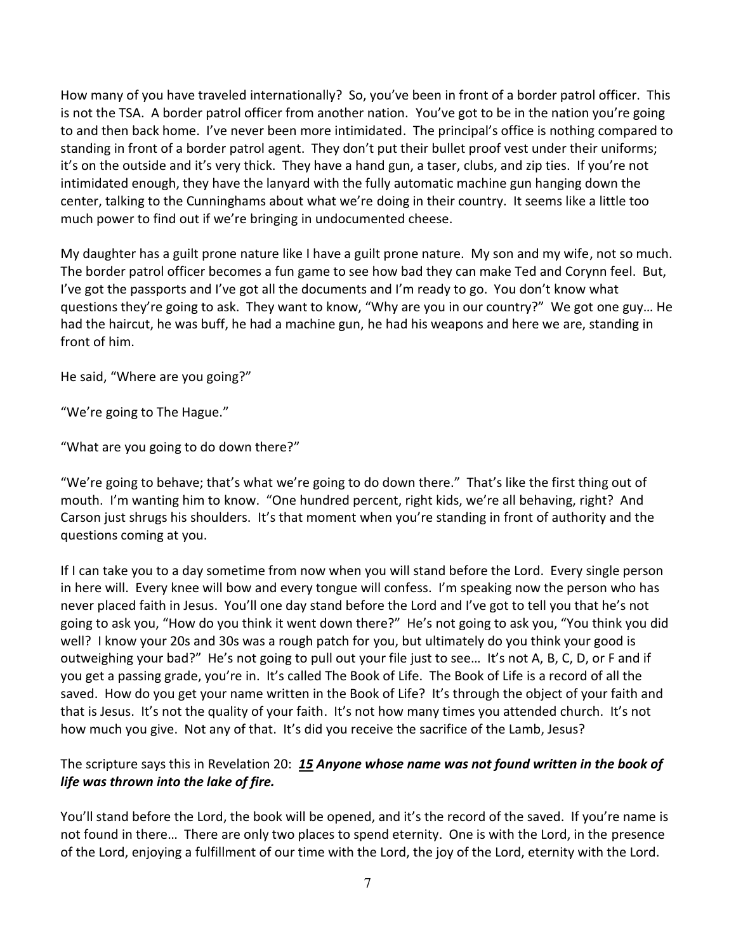How many of you have traveled internationally? So, you've been in front of a border patrol officer. This is not the TSA. A border patrol officer from another nation. You've got to be in the nation you're going to and then back home. I've never been more intimidated. The principal's office is nothing compared to standing in front of a border patrol agent. They don't put their bullet proof vest under their uniforms; it's on the outside and it's very thick. They have a hand gun, a taser, clubs, and zip ties. If you're not intimidated enough, they have the lanyard with the fully automatic machine gun hanging down the center, talking to the Cunninghams about what we're doing in their country. It seems like a little too much power to find out if we're bringing in undocumented cheese.

My daughter has a guilt prone nature like I have a guilt prone nature. My son and my wife, not so much. The border patrol officer becomes a fun game to see how bad they can make Ted and Corynn feel. But, I've got the passports and I've got all the documents and I'm ready to go. You don't know what questions they're going to ask. They want to know, "Why are you in our country?" We got one guy… He had the haircut, he was buff, he had a machine gun, he had his weapons and here we are, standing in front of him.

He said, "Where are you going?"

"We're going to The Hague."

"What are you going to do down there?"

"We're going to behave; that's what we're going to do down there." That's like the first thing out of mouth. I'm wanting him to know. "One hundred percent, right kids, we're all behaving, right? And Carson just shrugs his shoulders. It's that moment when you're standing in front of authority and the questions coming at you.

If I can take you to a day sometime from now when you will stand before the Lord. Every single person in here will. Every knee will bow and every tongue will confess. I'm speaking now the person who has never placed faith in Jesus. You'll one day stand before the Lord and I've got to tell you that he's not going to ask you, "How do you think it went down there?" He's not going to ask you, "You think you did well? I know your 20s and 30s was a rough patch for you, but ultimately do you think your good is outweighing your bad?" He's not going to pull out your file just to see... It's not A, B, C, D, or F and if you get a passing grade, you're in. It's called The Book of Life. The Book of Life is a record of all the saved. How do you get your name written in the Book of Life? It's through the object of your faith and that is Jesus. It's not the quality of your faith. It's not how many times you attended church. It's not how much you give. Not any of that. It's did you receive the sacrifice of the Lamb, Jesus?

## The scripture says this in Revelation 20: *[15](https://www.studylight.org/desk/?q=re%2020:15&t1=en_niv&sr=1) Anyone whose name was not found written in the book of life was thrown into the lake of fire.*

You'll stand before the Lord, the book will be opened, and it's the record of the saved. If you're name is not found in there… There are only two places to spend eternity. One is with the Lord, in the presence of the Lord, enjoying a fulfillment of our time with the Lord, the joy of the Lord, eternity with the Lord.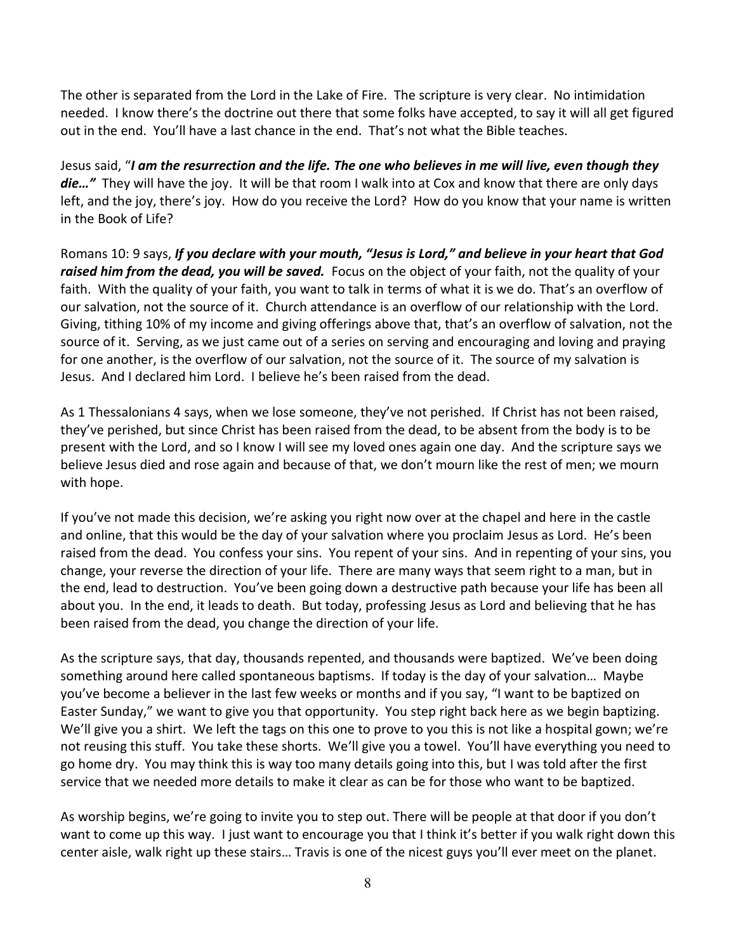The other is separated from the Lord in the Lake of Fire. The scripture is very clear. No intimidation needed. I know there's the doctrine out there that some folks have accepted, to say it will all get figured out in the end. You'll have a last chance in the end. That's not what the Bible teaches.

Jesus said, "*I am the resurrection and the life. The one who believes in me will live, even though they die…"* They will have the joy. It will be that room I walk into at Cox and know that there are only days left, and the joy, there's joy. How do you receive the Lord? How do you know that your name is written in the Book of Life?

Romans 10: 9 says, *If you declare with your mouth, "Jesus is Lord," and believe in your heart that God raised him from the dead, you will be saved.* Focus on the object of your faith, not the quality of your faith. With the quality of your faith, you want to talk in terms of what it is we do. That's an overflow of our salvation, not the source of it. Church attendance is an overflow of our relationship with the Lord. Giving, tithing 10% of my income and giving offerings above that, that's an overflow of salvation, not the source of it. Serving, as we just came out of a series on serving and encouraging and loving and praying for one another, is the overflow of our salvation, not the source of it. The source of my salvation is Jesus. And I declared him Lord. I believe he's been raised from the dead.

As 1 Thessalonians 4 says, when we lose someone, they've not perished. If Christ has not been raised, they've perished, but since Christ has been raised from the dead, to be absent from the body is to be present with the Lord, and so I know I will see my loved ones again one day. And the scripture says we believe Jesus died and rose again and because of that, we don't mourn like the rest of men; we mourn with hope.

If you've not made this decision, we're asking you right now over at the chapel and here in the castle and online, that this would be the day of your salvation where you proclaim Jesus as Lord. He's been raised from the dead. You confess your sins. You repent of your sins. And in repenting of your sins, you change, your reverse the direction of your life. There are many ways that seem right to a man, but in the end, lead to destruction. You've been going down a destructive path because your life has been all about you. In the end, it leads to death. But today, professing Jesus as Lord and believing that he has been raised from the dead, you change the direction of your life.

As the scripture says, that day, thousands repented, and thousands were baptized. We've been doing something around here called spontaneous baptisms. If today is the day of your salvation… Maybe you've become a believer in the last few weeks or months and if you say, "I want to be baptized on Easter Sunday," we want to give you that opportunity. You step right back here as we begin baptizing. We'll give you a shirt. We left the tags on this one to prove to you this is not like a hospital gown; we're not reusing this stuff. You take these shorts. We'll give you a towel. You'll have everything you need to go home dry. You may think this is way too many details going into this, but I was told after the first service that we needed more details to make it clear as can be for those who want to be baptized.

As worship begins, we're going to invite you to step out. There will be people at that door if you don't want to come up this way. I just want to encourage you that I think it's better if you walk right down this center aisle, walk right up these stairs… Travis is one of the nicest guys you'll ever meet on the planet.